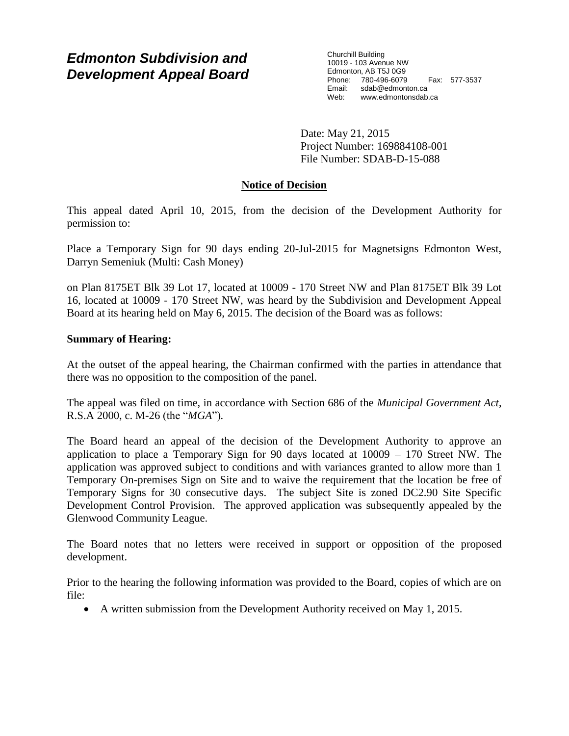# *Edmonton Subdivision and Development Appeal Board*

Churchill Building 10019 - 103 Avenue NW Edmonton, AB T5J 0G9 Phone: 780-496-6079 Fax: 577-3537 Email: sdab@edmonton.ca<br>Web: www.edmonton.ca Web: www.edmontonsdab.ca

Date: May 21, 2015 Project Number: 169884108-001 File Number: SDAB-D-15-088

# **Notice of Decision**

This appeal dated April 10, 2015, from the decision of the Development Authority for permission to:

Place a Temporary Sign for 90 days ending 20-Jul-2015 for Magnetsigns Edmonton West, Darryn Semeniuk (Multi: Cash Money)

on Plan 8175ET Blk 39 Lot 17, located at 10009 - 170 Street NW and Plan 8175ET Blk 39 Lot 16, located at 10009 - 170 Street NW, was heard by the Subdivision and Development Appeal Board at its hearing held on May 6, 2015. The decision of the Board was as follows:

# **Summary of Hearing:**

At the outset of the appeal hearing, the Chairman confirmed with the parties in attendance that there was no opposition to the composition of the panel.

The appeal was filed on time, in accordance with Section 686 of the *Municipal Government Act*, R.S.A 2000, c. M-26 (the "*MGA*")*.*

The Board heard an appeal of the decision of the Development Authority to approve an application to place a Temporary Sign for 90 days located at 10009 – 170 Street NW. The application was approved subject to conditions and with variances granted to allow more than 1 Temporary On-premises Sign on Site and to waive the requirement that the location be free of Temporary Signs for 30 consecutive days. The subject Site is zoned DC2.90 Site Specific Development Control Provision. The approved application was subsequently appealed by the Glenwood Community League.

The Board notes that no letters were received in support or opposition of the proposed development.

Prior to the hearing the following information was provided to the Board, copies of which are on file:

A written submission from the Development Authority received on May 1, 2015.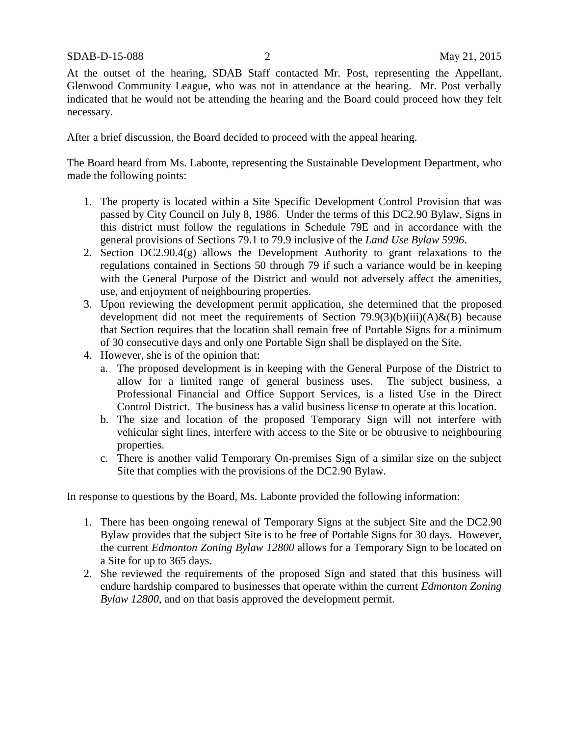At the outset of the hearing, SDAB Staff contacted Mr. Post, representing the Appellant, Glenwood Community League, who was not in attendance at the hearing. Mr. Post verbally indicated that he would not be attending the hearing and the Board could proceed how they felt necessary.

After a brief discussion, the Board decided to proceed with the appeal hearing.

The Board heard from Ms. Labonte, representing the Sustainable Development Department, who made the following points:

- 1. The property is located within a Site Specific Development Control Provision that was passed by City Council on July 8, 1986. Under the terms of this DC2.90 Bylaw, Signs in this district must follow the regulations in Schedule 79E and in accordance with the general provisions of Sections 79.1 to 79.9 inclusive of the *Land Use Bylaw 5996*.
- 2. Section DC2.90.4(g) allows the Development Authority to grant relaxations to the regulations contained in Sections 50 through 79 if such a variance would be in keeping with the General Purpose of the District and would not adversely affect the amenities, use, and enjoyment of neighbouring properties.
- 3. Upon reviewing the development permit application, she determined that the proposed development did not meet the requirements of Section  $79.9(3)(b)(iii)(A)$ &(B) because that Section requires that the location shall remain free of Portable Signs for a minimum of 30 consecutive days and only one Portable Sign shall be displayed on the Site.
- 4. However, she is of the opinion that:
	- a. The proposed development is in keeping with the General Purpose of the District to allow for a limited range of general business uses. The subject business, a Professional Financial and Office Support Services, is a listed Use in the Direct Control District. The business has a valid business license to operate at this location.
	- b. The size and location of the proposed Temporary Sign will not interfere with vehicular sight lines, interfere with access to the Site or be obtrusive to neighbouring properties.
	- c. There is another valid Temporary On-premises Sign of a similar size on the subject Site that complies with the provisions of the DC2.90 Bylaw.

In response to questions by the Board, Ms. Labonte provided the following information:

- 1. There has been ongoing renewal of Temporary Signs at the subject Site and the DC2.90 Bylaw provides that the subject Site is to be free of Portable Signs for 30 days. However, the current *Edmonton Zoning Bylaw 12800* allows for a Temporary Sign to be located on a Site for up to 365 days.
- 2. She reviewed the requirements of the proposed Sign and stated that this business will endure hardship compared to businesses that operate within the current *Edmonton Zoning Bylaw 12800*, and on that basis approved the development permit.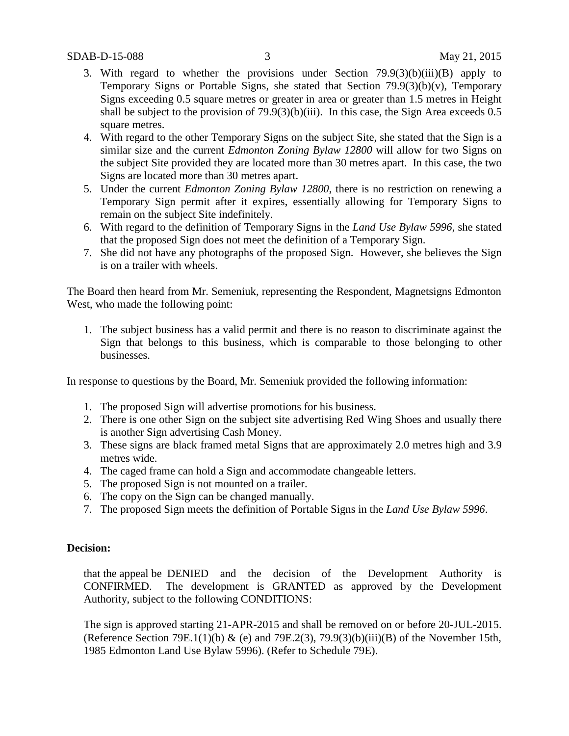- 3. With regard to whether the provisions under Section 79.9(3)(b)(iii)(B) apply to Temporary Signs or Portable Signs, she stated that Section  $79.9(3)(b)(v)$ , Temporary Signs exceeding 0.5 square metres or greater in area or greater than 1.5 metres in Height shall be subject to the provision of  $79.9(3)(b)(iii)$ . In this case, the Sign Area exceeds 0.5 square metres.
- 4. With regard to the other Temporary Signs on the subject Site, she stated that the Sign is a similar size and the current *Edmonton Zoning Bylaw 12800* will allow for two Signs on the subject Site provided they are located more than 30 metres apart. In this case, the two Signs are located more than 30 metres apart.
- 5. Under the current *Edmonton Zoning Bylaw 12800*, there is no restriction on renewing a Temporary Sign permit after it expires, essentially allowing for Temporary Signs to remain on the subject Site indefinitely.
- 6. With regard to the definition of Temporary Signs in the *Land Use Bylaw 5996*, she stated that the proposed Sign does not meet the definition of a Temporary Sign.
- 7. She did not have any photographs of the proposed Sign. However, she believes the Sign is on a trailer with wheels.

The Board then heard from Mr. Semeniuk, representing the Respondent, Magnetsigns Edmonton West, who made the following point:

1. The subject business has a valid permit and there is no reason to discriminate against the Sign that belongs to this business, which is comparable to those belonging to other businesses.

In response to questions by the Board, Mr. Semeniuk provided the following information:

- 1. The proposed Sign will advertise promotions for his business.
- 2. There is one other Sign on the subject site advertising Red Wing Shoes and usually there is another Sign advertising Cash Money.
- 3. These signs are black framed metal Signs that are approximately 2.0 metres high and 3.9 metres wide.
- 4. The caged frame can hold a Sign and accommodate changeable letters.
- 5. The proposed Sign is not mounted on a trailer.
- 6. The copy on the Sign can be changed manually.
- 7. The proposed Sign meets the definition of Portable Signs in the *Land Use Bylaw 5996*.

### **Decision:**

that the appeal be DENIED and the decision of the Development Authority is CONFIRMED. The development is GRANTED as approved by the Development Authority, subject to the following CONDITIONS:

The sign is approved starting 21-APR-2015 and shall be removed on or before 20-JUL-2015. (Reference Section 79E.1(1)(b) & (e) and 79E.2(3), 79.9(3)(b)(iii)(B) of the November 15th, 1985 Edmonton Land Use Bylaw 5996). (Refer to Schedule 79E).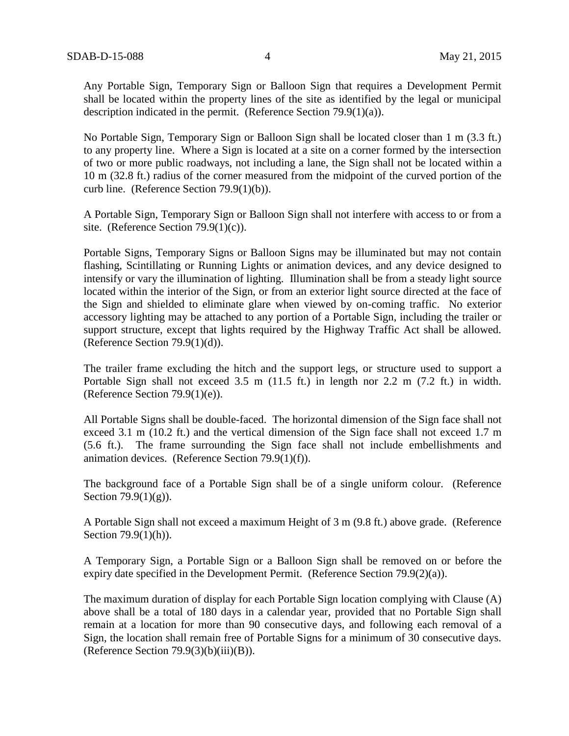Any Portable Sign, Temporary Sign or Balloon Sign that requires a Development Permit shall be located within the property lines of the site as identified by the legal or municipal description indicated in the permit. (Reference Section 79.9(1)(a)).

No Portable Sign, Temporary Sign or Balloon Sign shall be located closer than 1 m (3.3 ft.) to any property line. Where a Sign is located at a site on a corner formed by the intersection of two or more public roadways, not including a lane, the Sign shall not be located within a 10 m (32.8 ft.) radius of the corner measured from the midpoint of the curved portion of the curb line. (Reference Section 79.9(1)(b)).

A Portable Sign, Temporary Sign or Balloon Sign shall not interfere with access to or from a site. (Reference Section  $79.9(1)(c)$ ).

Portable Signs, Temporary Signs or Balloon Signs may be illuminated but may not contain flashing, Scintillating or Running Lights or animation devices, and any device designed to intensify or vary the illumination of lighting. Illumination shall be from a steady light source located within the interior of the Sign, or from an exterior light source directed at the face of the Sign and shielded to eliminate glare when viewed by on-coming traffic. No exterior accessory lighting may be attached to any portion of a Portable Sign, including the trailer or support structure, except that lights required by the Highway Traffic Act shall be allowed. (Reference Section 79.9(1)(d)).

The trailer frame excluding the hitch and the support legs, or structure used to support a Portable Sign shall not exceed 3.5 m (11.5 ft.) in length nor 2.2 m (7.2 ft.) in width. (Reference Section 79.9(1)(e)).

All Portable Signs shall be double-faced. The horizontal dimension of the Sign face shall not exceed 3.1 m (10.2 ft.) and the vertical dimension of the Sign face shall not exceed 1.7 m (5.6 ft.). The frame surrounding the Sign face shall not include embellishments and animation devices. (Reference Section 79.9(1)(f)).

The background face of a Portable Sign shall be of a single uniform colour. (Reference Section  $79.9(1)(g)$ ).

A Portable Sign shall not exceed a maximum Height of 3 m (9.8 ft.) above grade. (Reference Section 79.9(1)(h)).

A Temporary Sign, a Portable Sign or a Balloon Sign shall be removed on or before the expiry date specified in the Development Permit. (Reference Section 79.9(2)(a)).

The maximum duration of display for each Portable Sign location complying with Clause (A) above shall be a total of 180 days in a calendar year, provided that no Portable Sign shall remain at a location for more than 90 consecutive days, and following each removal of a Sign, the location shall remain free of Portable Signs for a minimum of 30 consecutive days. (Reference Section  $79.9(3)(b)(iii)(B)$ ).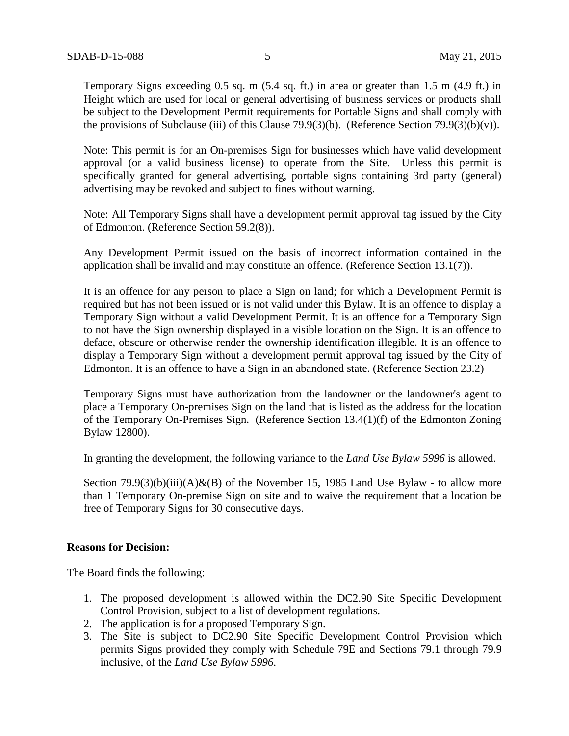Temporary Signs exceeding 0.5 sq. m (5.4 sq. ft.) in area or greater than 1.5 m (4.9 ft.) in Height which are used for local or general advertising of business services or products shall be subject to the Development Permit requirements for Portable Signs and shall comply with the provisions of Subclause (iii) of this Clause 79.9(3)(b). (Reference Section 79.9(3)(b)(v)).

Note: This permit is for an On-premises Sign for businesses which have valid development approval (or a valid business license) to operate from the Site. Unless this permit is specifically granted for general advertising, portable signs containing 3rd party (general) advertising may be revoked and subject to fines without warning.

Note: All Temporary Signs shall have a development permit approval tag issued by the City of Edmonton. (Reference Section 59.2(8)).

Any Development Permit issued on the basis of incorrect information contained in the application shall be invalid and may constitute an offence. (Reference Section 13.1(7)).

It is an offence for any person to place a Sign on land; for which a Development Permit is required but has not been issued or is not valid under this Bylaw. It is an offence to display a Temporary Sign without a valid Development Permit. It is an offence for a Temporary Sign to not have the Sign ownership displayed in a visible location on the Sign. It is an offence to deface, obscure or otherwise render the ownership identification illegible. It is an offence to display a Temporary Sign without a development permit approval tag issued by the City of Edmonton. It is an offence to have a Sign in an abandoned state. (Reference Section 23.2)

Temporary Signs must have authorization from the landowner or the landowner's agent to place a Temporary On-premises Sign on the land that is listed as the address for the location of the Temporary On-Premises Sign. (Reference Section 13.4(1)(f) of the Edmonton Zoning Bylaw 12800).

In granting the development, the following variance to the *Land Use Bylaw 5996* is allowed.

Section 79.9(3)(b)(iii)(A)&(B) of the November 15, 1985 Land Use Bylaw - to allow more than 1 Temporary On-premise Sign on site and to waive the requirement that a location be free of Temporary Signs for 30 consecutive days.

#### **Reasons for Decision:**

The Board finds the following:

- 1. The proposed development is allowed within the DC2.90 Site Specific Development Control Provision, subject to a list of development regulations.
- 2. The application is for a proposed Temporary Sign.
- 3. The Site is subject to DC2.90 Site Specific Development Control Provision which permits Signs provided they comply with Schedule 79E and Sections 79.1 through 79.9 inclusive, of the *Land Use Bylaw 5996*.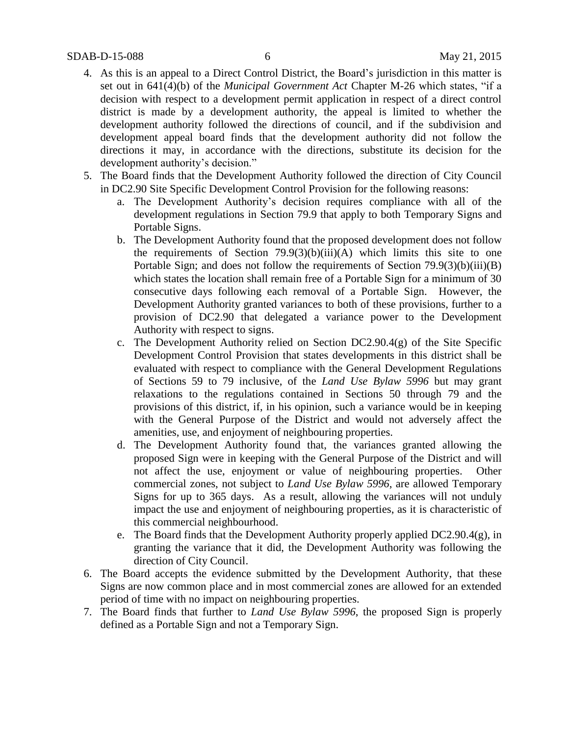- 4. As this is an appeal to a Direct Control District, the Board's jurisdiction in this matter is set out in 641(4)(b) of the *Municipal Government Act* Chapter M-26 which states, "if a decision with respect to a development permit application in respect of a direct control district is made by a development authority, the appeal is limited to whether the development authority followed the directions of council, and if the subdivision and development appeal board finds that the development authority did not follow the directions it may, in accordance with the directions, substitute its decision for the development authority's decision."
- 5. The Board finds that the Development Authority followed the direction of City Council in DC2.90 Site Specific Development Control Provision for the following reasons:
	- a. The Development Authority's decision requires compliance with all of the development regulations in Section 79.9 that apply to both Temporary Signs and Portable Signs.
	- b. The Development Authority found that the proposed development does not follow the requirements of Section  $79.9(3)(b)(iii)(A)$  which limits this site to one Portable Sign; and does not follow the requirements of Section 79.9(3)(b)(iii)(B) which states the location shall remain free of a Portable Sign for a minimum of 30 consecutive days following each removal of a Portable Sign. However, the Development Authority granted variances to both of these provisions, further to a provision of DC2.90 that delegated a variance power to the Development Authority with respect to signs.
	- c. The Development Authority relied on Section DC2.90.4(g) of the Site Specific Development Control Provision that states developments in this district shall be evaluated with respect to compliance with the General Development Regulations of Sections 59 to 79 inclusive, of the *Land Use Bylaw 5996* but may grant relaxations to the regulations contained in Sections 50 through 79 and the provisions of this district, if, in his opinion, such a variance would be in keeping with the General Purpose of the District and would not adversely affect the amenities, use, and enjoyment of neighbouring properties.
	- d. The Development Authority found that, the variances granted allowing the proposed Sign were in keeping with the General Purpose of the District and will not affect the use, enjoyment or value of neighbouring properties. Other commercial zones, not subject to *Land Use Bylaw 5996*, are allowed Temporary Signs for up to 365 days. As a result, allowing the variances will not unduly impact the use and enjoyment of neighbouring properties, as it is characteristic of this commercial neighbourhood.
	- e. The Board finds that the Development Authority properly applied DC2.90.4(g), in granting the variance that it did, the Development Authority was following the direction of City Council.
- 6. The Board accepts the evidence submitted by the Development Authority, that these Signs are now common place and in most commercial zones are allowed for an extended period of time with no impact on neighbouring properties.
- 7. The Board finds that further to *Land Use Bylaw 5996*, the proposed Sign is properly defined as a Portable Sign and not a Temporary Sign.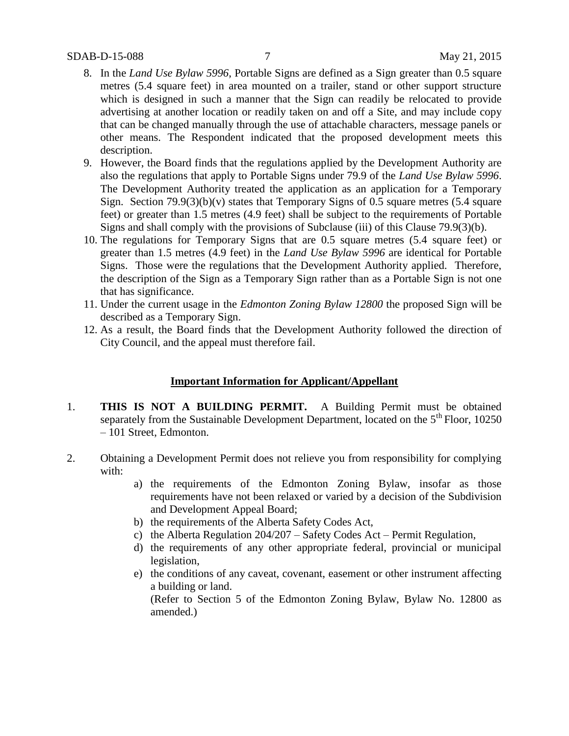#### SDAB-D-15-088 7 May 21, 2015

- 8. In the *Land Use Bylaw 5996*, Portable Signs are defined as a Sign greater than 0.5 square metres (5.4 square feet) in area mounted on a trailer, stand or other support structure which is designed in such a manner that the Sign can readily be relocated to provide advertising at another location or readily taken on and off a Site, and may include copy that can be changed manually through the use of attachable characters, message panels or other means. The Respondent indicated that the proposed development meets this description.
- 9. However, the Board finds that the regulations applied by the Development Authority are also the regulations that apply to Portable Signs under 79.9 of the *Land Use Bylaw 5996*. The Development Authority treated the application as an application for a Temporary Sign. Section  $79.9(3)(b)(v)$  states that Temporary Signs of 0.5 square metres (5.4 square feet) or greater than 1.5 metres (4.9 feet) shall be subject to the requirements of Portable Signs and shall comply with the provisions of Subclause (iii) of this Clause 79.9(3)(b).
- 10. The regulations for Temporary Signs that are 0.5 square metres (5.4 square feet) or greater than 1.5 metres (4.9 feet) in the *Land Use Bylaw 5996* are identical for Portable Signs. Those were the regulations that the Development Authority applied. Therefore, the description of the Sign as a Temporary Sign rather than as a Portable Sign is not one that has significance.
- 11. Under the current usage in the *Edmonton Zoning Bylaw 12800* the proposed Sign will be described as a Temporary Sign.
- 12. As a result, the Board finds that the Development Authority followed the direction of City Council, and the appeal must therefore fail.

# **Important Information for Applicant/Appellant**

- 1. **THIS IS NOT A BUILDING PERMIT.** A Building Permit must be obtained separately from the Sustainable Development Department, located on the  $5<sup>th</sup>$  Floor, 10250 – 101 Street, Edmonton.
- 2. Obtaining a Development Permit does not relieve you from responsibility for complying with:
	- a) the requirements of the Edmonton Zoning Bylaw, insofar as those requirements have not been relaxed or varied by a decision of the Subdivision and Development Appeal Board;
	- b) the requirements of the Alberta Safety Codes Act,
	- c) the Alberta Regulation 204/207 Safety Codes Act Permit Regulation,
	- d) the requirements of any other appropriate federal, provincial or municipal legislation,
	- e) the conditions of any caveat, covenant, easement or other instrument affecting a building or land.

(Refer to Section 5 of the Edmonton Zoning Bylaw, Bylaw No. 12800 as amended.)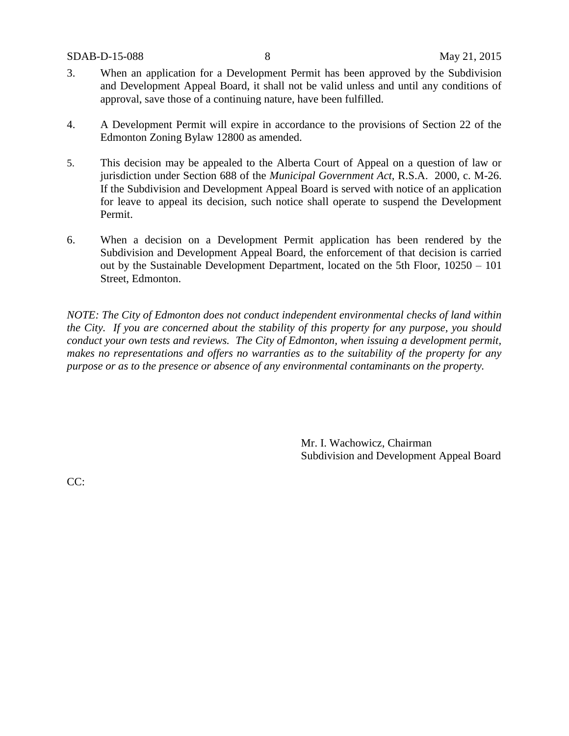- 3. When an application for a Development Permit has been approved by the Subdivision and Development Appeal Board, it shall not be valid unless and until any conditions of approval, save those of a continuing nature, have been fulfilled.
- 4. A Development Permit will expire in accordance to the provisions of Section 22 of the Edmonton Zoning Bylaw 12800 as amended.
- 5. This decision may be appealed to the Alberta Court of Appeal on a question of law or jurisdiction under Section 688 of the *Municipal Government Act*, R.S.A. 2000, c. M-26. If the Subdivision and Development Appeal Board is served with notice of an application for leave to appeal its decision, such notice shall operate to suspend the Development Permit.
- 6. When a decision on a Development Permit application has been rendered by the Subdivision and Development Appeal Board, the enforcement of that decision is carried out by the Sustainable Development Department, located on the 5th Floor, 10250 – 101 Street, Edmonton.

*NOTE: The City of Edmonton does not conduct independent environmental checks of land within the City. If you are concerned about the stability of this property for any purpose, you should conduct your own tests and reviews. The City of Edmonton, when issuing a development permit, makes no representations and offers no warranties as to the suitability of the property for any purpose or as to the presence or absence of any environmental contaminants on the property.*

> Mr. I. Wachowicz, Chairman Subdivision and Development Appeal Board

CC: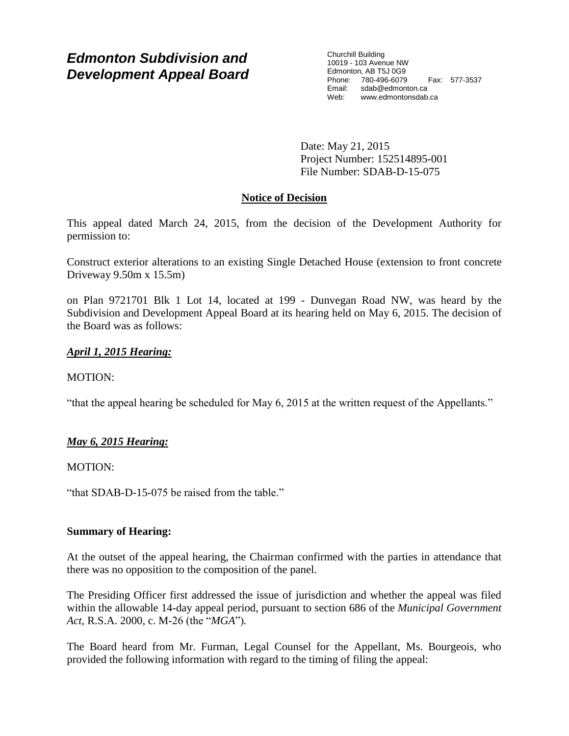# *Edmonton Subdivision and Development Appeal Board*

Churchill Building 10019 - 103 Avenue NW Edmonton, AB T5J 0G9 Phone: 780-496-6079 Fax: 577-3537 Email: sdab@edmonton.ca Web: www.edmontonsdab.ca

Date: May 21, 2015 Project Number: 152514895-001 File Number: SDAB-D-15-075

# **Notice of Decision**

This appeal dated March 24, 2015, from the decision of the Development Authority for permission to:

Construct exterior alterations to an existing Single Detached House (extension to front concrete Driveway 9.50m x 15.5m)

on Plan 9721701 Blk 1 Lot 14, located at 199 - Dunvegan Road NW, was heard by the Subdivision and Development Appeal Board at its hearing held on May 6, 2015. The decision of the Board was as follows:

# *April 1, 2015 Hearing:*

# MOTION:

"that the appeal hearing be scheduled for May 6, 2015 at the written request of the Appellants."

# *May 6, 2015 Hearing:*

MOTION:

"that SDAB-D-15-075 be raised from the table."

## **Summary of Hearing:**

At the outset of the appeal hearing, the Chairman confirmed with the parties in attendance that there was no opposition to the composition of the panel.

The Presiding Officer first addressed the issue of jurisdiction and whether the appeal was filed within the allowable 14-day appeal period, pursuant to section 686 of the *Municipal Government Act*, R.S.A. 2000, c. M-26 (the "*MGA*")*.*

The Board heard from Mr. Furman, Legal Counsel for the Appellant, Ms. Bourgeois, who provided the following information with regard to the timing of filing the appeal: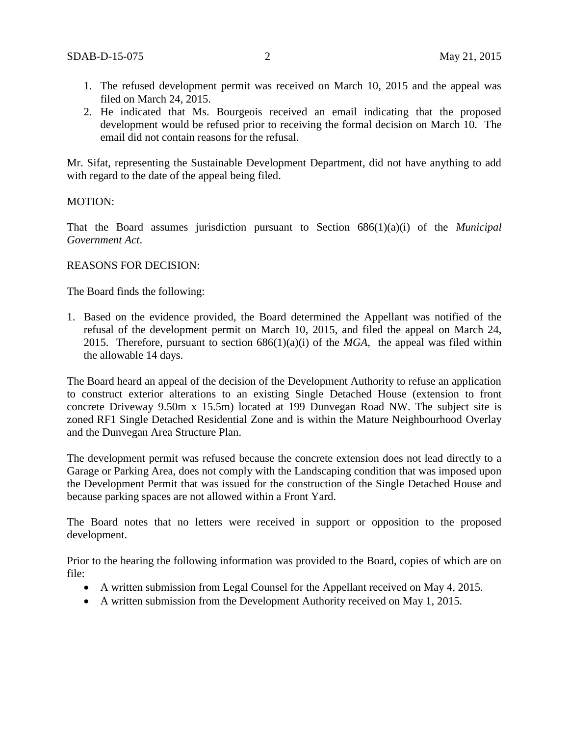- 1. The refused development permit was received on March 10, 2015 and the appeal was filed on March 24, 2015.
- 2. He indicated that Ms. Bourgeois received an email indicating that the proposed development would be refused prior to receiving the formal decision on March 10. The email did not contain reasons for the refusal.

Mr. Sifat, representing the Sustainable Development Department, did not have anything to add with regard to the date of the appeal being filed.

### MOTION:

That the Board assumes jurisdiction pursuant to Section 686(1)(a)(i) of the *Municipal Government Act*.

### REASONS FOR DECISION:

The Board finds the following:

1. Based on the evidence provided, the Board determined the Appellant was notified of the refusal of the development permit on March 10, 2015, and filed the appeal on March 24, 2015. Therefore, pursuant to section 686(1)(a)(i) of the *MGA*, the appeal was filed within the allowable 14 days.

The Board heard an appeal of the decision of the Development Authority to refuse an application to construct exterior alterations to an existing Single Detached House (extension to front concrete Driveway 9.50m x 15.5m) located at 199 Dunvegan Road NW. The subject site is zoned RF1 Single Detached Residential Zone and is within the Mature Neighbourhood Overlay and the Dunvegan Area Structure Plan.

The development permit was refused because the concrete extension does not lead directly to a Garage or Parking Area, does not comply with the Landscaping condition that was imposed upon the Development Permit that was issued for the construction of the Single Detached House and because parking spaces are not allowed within a Front Yard.

The Board notes that no letters were received in support or opposition to the proposed development.

Prior to the hearing the following information was provided to the Board, copies of which are on file:

- A written submission from Legal Counsel for the Appellant received on May 4, 2015.
- A written submission from the Development Authority received on May 1, 2015.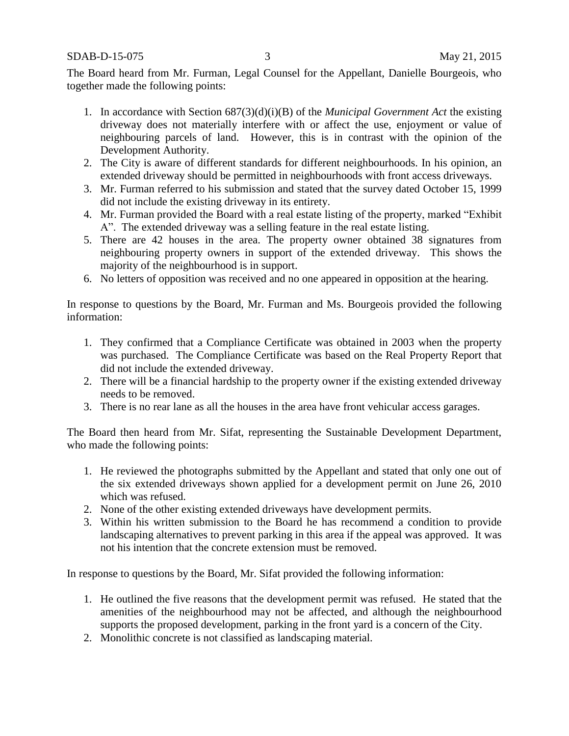SDAB-D-15-075 3 May 21, 2015

The Board heard from Mr. Furman, Legal Counsel for the Appellant, Danielle Bourgeois, who together made the following points:

- 1. In accordance with Section 687(3)(d)(i)(B) of the *Municipal Government Act* the existing driveway does not materially interfere with or affect the use, enjoyment or value of neighbouring parcels of land. However, this is in contrast with the opinion of the Development Authority.
- 2. The City is aware of different standards for different neighbourhoods. In his opinion, an extended driveway should be permitted in neighbourhoods with front access driveways.
- 3. Mr. Furman referred to his submission and stated that the survey dated October 15, 1999 did not include the existing driveway in its entirety.
- 4. Mr. Furman provided the Board with a real estate listing of the property, marked "Exhibit A". The extended driveway was a selling feature in the real estate listing.
- 5. There are 42 houses in the area. The property owner obtained 38 signatures from neighbouring property owners in support of the extended driveway. This shows the majority of the neighbourhood is in support.
- 6. No letters of opposition was received and no one appeared in opposition at the hearing.

In response to questions by the Board, Mr. Furman and Ms. Bourgeois provided the following information:

- 1. They confirmed that a Compliance Certificate was obtained in 2003 when the property was purchased. The Compliance Certificate was based on the Real Property Report that did not include the extended driveway.
- 2. There will be a financial hardship to the property owner if the existing extended driveway needs to be removed.
- 3. There is no rear lane as all the houses in the area have front vehicular access garages.

The Board then heard from Mr. Sifat, representing the Sustainable Development Department, who made the following points:

- 1. He reviewed the photographs submitted by the Appellant and stated that only one out of the six extended driveways shown applied for a development permit on June 26, 2010 which was refused.
- 2. None of the other existing extended driveways have development permits.
- 3. Within his written submission to the Board he has recommend a condition to provide landscaping alternatives to prevent parking in this area if the appeal was approved. It was not his intention that the concrete extension must be removed.

In response to questions by the Board, Mr. Sifat provided the following information:

- 1. He outlined the five reasons that the development permit was refused. He stated that the amenities of the neighbourhood may not be affected, and although the neighbourhood supports the proposed development, parking in the front yard is a concern of the City.
- 2. Monolithic concrete is not classified as landscaping material.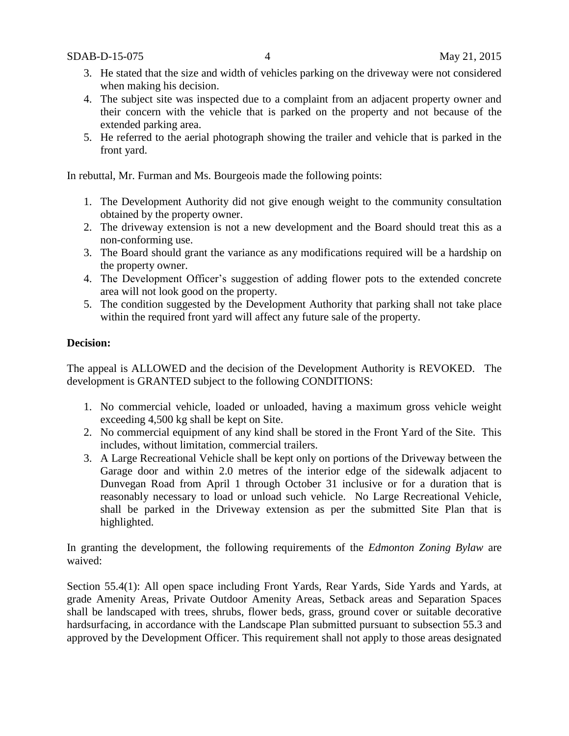- 3. He stated that the size and width of vehicles parking on the driveway were not considered when making his decision.
- 4. The subject site was inspected due to a complaint from an adjacent property owner and their concern with the vehicle that is parked on the property and not because of the extended parking area.
- 5. He referred to the aerial photograph showing the trailer and vehicle that is parked in the front yard.

In rebuttal, Mr. Furman and Ms. Bourgeois made the following points:

- 1. The Development Authority did not give enough weight to the community consultation obtained by the property owner.
- 2. The driveway extension is not a new development and the Board should treat this as a non-conforming use.
- 3. The Board should grant the variance as any modifications required will be a hardship on the property owner.
- 4. The Development Officer's suggestion of adding flower pots to the extended concrete area will not look good on the property.
- 5. The condition suggested by the Development Authority that parking shall not take place within the required front yard will affect any future sale of the property.

# **Decision:**

The appeal is ALLOWED and the decision of the Development Authority is REVOKED. The development is GRANTED subject to the following CONDITIONS:

- 1. No commercial vehicle, loaded or unloaded, having a maximum gross vehicle weight exceeding 4,500 kg shall be kept on Site.
- 2. No commercial equipment of any kind shall be stored in the Front Yard of the Site. This includes, without limitation, commercial trailers.
- 3. A Large Recreational Vehicle shall be kept only on portions of the Driveway between the Garage door and within 2.0 metres of the interior edge of the sidewalk adjacent to Dunvegan Road from April 1 through October 31 inclusive or for a duration that is reasonably necessary to load or unload such vehicle. No Large Recreational Vehicle, shall be parked in the Driveway extension as per the submitted Site Plan that is highlighted.

In granting the development, the following requirements of the *Edmonton Zoning Bylaw* are waived:

Section 55.4(1): All open space including Front Yards, Rear Yards, Side Yards and Yards, at grade Amenity Areas, Private Outdoor Amenity Areas, Setback areas and Separation Spaces shall be landscaped with trees, shrubs, flower beds, grass, ground cover or suitable decorative hardsurfacing, in accordance with the Landscape Plan submitted pursuant to subsection 55.3 and approved by the Development Officer. This requirement shall not apply to those areas designated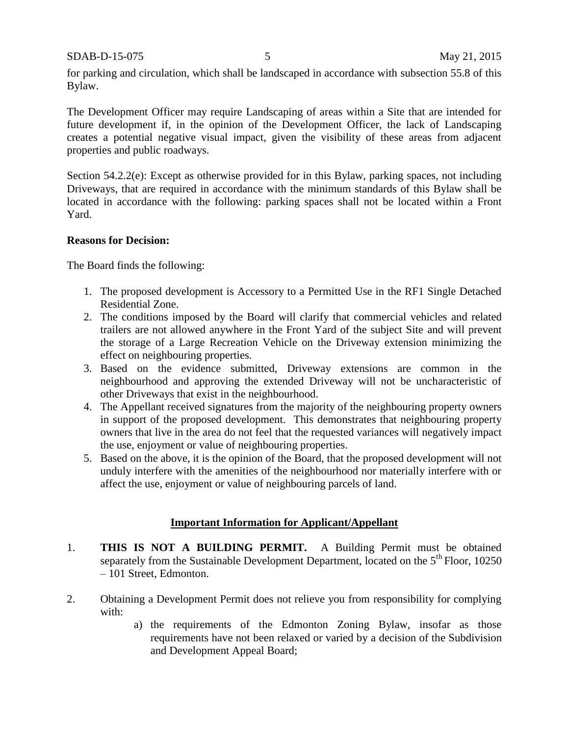SDAB-D-15-075 5 May 21, 2015

for parking and circulation, which shall be landscaped in accordance with subsection 55.8 of this Bylaw.

The Development Officer may require Landscaping of areas within a Site that are intended for future development if, in the opinion of the Development Officer, the lack of Landscaping creates a potential negative visual impact, given the visibility of these areas from adjacent properties and public roadways.

Section 54.2.2(e): Except as otherwise provided for in this Bylaw, parking spaces, not including Driveways, that are required in accordance with the minimum standards of this Bylaw shall be located in accordance with the following: parking spaces shall not be located within a Front Yard.

## **Reasons for Decision:**

The Board finds the following:

- 1. The proposed development is Accessory to a Permitted Use in the RF1 Single Detached Residential Zone.
- 2. The conditions imposed by the Board will clarify that commercial vehicles and related trailers are not allowed anywhere in the Front Yard of the subject Site and will prevent the storage of a Large Recreation Vehicle on the Driveway extension minimizing the effect on neighbouring properties.
- 3. Based on the evidence submitted, Driveway extensions are common in the neighbourhood and approving the extended Driveway will not be uncharacteristic of other Driveways that exist in the neighbourhood.
- 4. The Appellant received signatures from the majority of the neighbouring property owners in support of the proposed development. This demonstrates that neighbouring property owners that live in the area do not feel that the requested variances will negatively impact the use, enjoyment or value of neighbouring properties.
- 5. Based on the above, it is the opinion of the Board, that the proposed development will not unduly interfere with the amenities of the neighbourhood nor materially interfere with or affect the use, enjoyment or value of neighbouring parcels of land.

## **Important Information for Applicant/Appellant**

- 1. **THIS IS NOT A BUILDING PERMIT.** A Building Permit must be obtained separately from the Sustainable Development Department, located on the  $5<sup>th</sup>$  Floor, 10250 – 101 Street, Edmonton.
- 2. Obtaining a Development Permit does not relieve you from responsibility for complying with:
	- a) the requirements of the Edmonton Zoning Bylaw, insofar as those requirements have not been relaxed or varied by a decision of the Subdivision and Development Appeal Board;